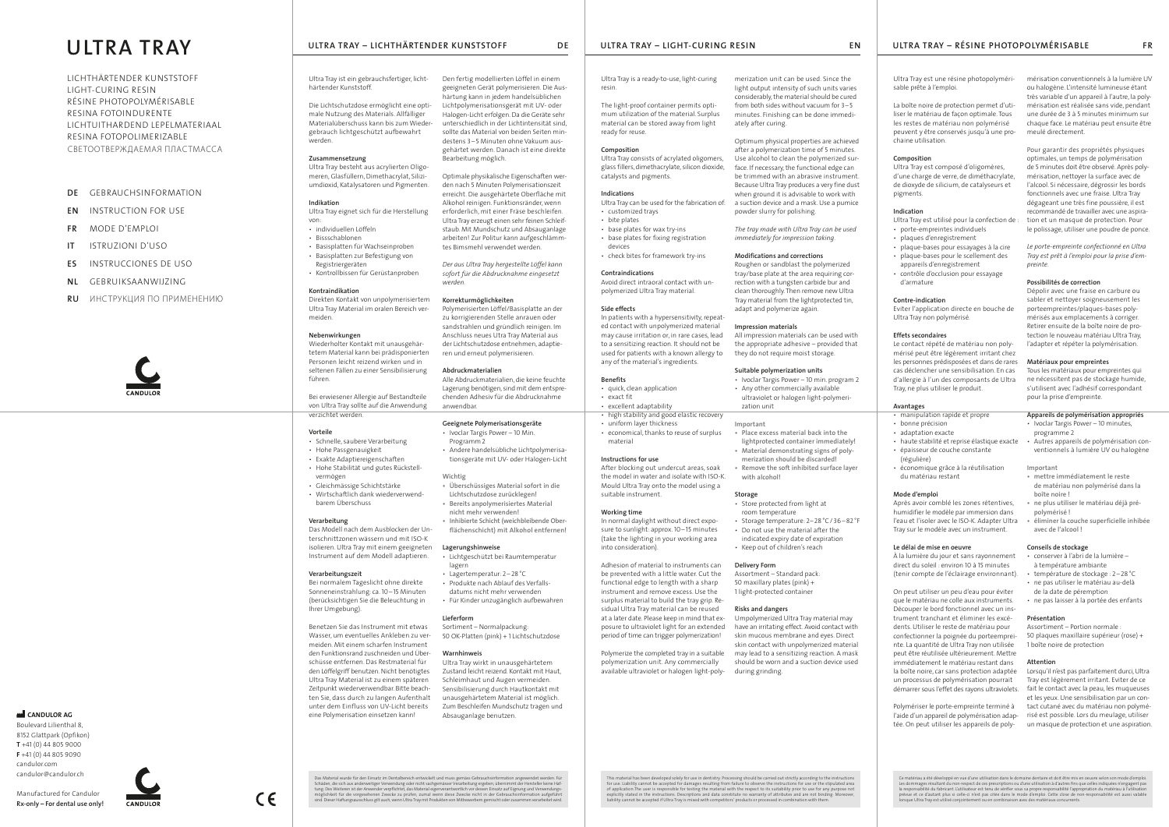# **DE**  GEBRAUCHSINFORMATION

- **EN** INSTRUCTION FOR USE
- **FR**  MODE D'EMPLOI
- **IT**  ISTRUZIONI D'USO
- **ES**  INSTRUCCIONES DE USO
- **NL**  GEBRUIKSAANWIJZING
- **RU** ИНСТРУКЦИЯ ПО ПРИМЕНЕНИЮ



*<u>M*</u> CANDULOR AG Boulevard Lilienthal 8, 8152 Glattpark (Opfikon) **T** +41 (0) 44 805 9000 **F** +41 (0) 44 805 9090 candulor.com candulor@candulor.ch

LICHTHÄRTENDER KUNSTSTOFF LIGHT-CURING RESIN RÉSINE PHOTOPOLYMÉRISABLE RESINA FOTOINDURENTE LICHTUITHARDEND LEPELMATERIAAL RESINA FOTOPOLIMERIZABLE СВЕТООТВЕРЖДАЕМАЯ ПЛАСТМАССА

# **ULTRA TRAY**

Manufactured for Candulor **Rx-only – For dental use only!**

# ULTRA TRAY – LICHTHÄRTENDER KUNSTSTOFF PRINTERENDER ULTRA TRAY – LIGHT-CURING RESINNERS EN ULTRA TRAY – RÉSINE PHOTOPOLYMÉRISABLE FRE

Ultra Tray ist ein gebrauchsfertiger, lichthärtender Kunststoff.

Die Lichtschutzdose ermöglicht eine optimale Nutzung des Materials. Allfälliger Materialüberschuss kann bis zum Wiedergebrauch lichtgeschützt aufbewahrt werden.

# **Zusammensetzung**

Ultra Tray besteht aus acrylierten Oligomeren, Glasfüllern, Dimethacrylat, Siliziumdioxid, Katalysatoren und Pigmenten.

# **Indikation**

#### Ultra Tray eignet sich für die Herstellung von:

- individuellen Löffeln
- Bissschablonen • Basisplatten für Wachseinproben
- Basisplatten zur Befestigung von
- Registriergeräten • Kontrollbissen für Gerüstanproben

# **Kontraindikation**

Direkten Kontakt von unpolymerisiertem Ultra Tray Material im oralen Bereich vermeiden.

# **Nebenwirkungen**

Wiederholter Kontakt mit unausgehärtetem Material kann bei prädisponierten Personen leicht reizend wirken und in seltenen Fällen zu einer Sensibilisierung führen.

Bei erwiesener Allergie auf Bestandteile von Ultra Tray sollte auf die Anwendung verzichtet werden.

# **Vorteile**

- Schnelle, saubere Verarbeitung
- Hohe Passgenauigkeit
- Exakte Adaptiereigenschaften
- Hohe Stabilität und gutes Rückstell-
- vermögen
- Gleichmässige Schichtstärke • Wirtschaftlich dank wiederverwend-
- barem Überschuss

# **Verarbeitung**

Das Modell nach dem Ausblocken der Unterschnittzonen wässern und mit ISO-K isolieren. Ultra Tray mit einem geeigneten Instrument auf dem Modell adaptieren.

# **Verarbeitungszeit**

 $C \in$ 

Bei normalem Tageslicht ohne direkte Sonneneinstrahlung: ca. 10–15 Minuten (berücksichtigen Sie die Beleuchtung in Ihrer Umgebung).

Benetzen Sie das Instrument mit etwas Wasser, um eventuelles Ankleben zu vermeiden. Mit einem scharfen Instrument den Funktionsrand zuschneiden und Überschüsse entfernen. Das Restmaterial für den Löffelgriff benutzen. Nicht benötigtes Ultra Tray Material ist zu einem späteren Zeitpunkt wiederverwendbar. Bitte beachten Sie, dass durch zu langen Aufenthalt unter dem Einfluss von UV-Licht bereits eine Polymerisation einsetzen kann!

Ultra Tray is a ready-to-use, light-curing resin.

The light-proof container permits optimum utilization of the material. Surplus material can be stored away from light ready for reuse.

#### **Composition**

Ultra Tray consists of acrylated oligomers, glass fillers, dimethacrylate, silicon dioxide, catalysts and pigments.

#### **Indications** Ultra Tray can be used for the fabrication of:

- customized trays
- bite plates
- base plates for wax try-ins • base plates for fixing registration
- devices
- check bites for framework try-ins

# **Contraindications**

Avoid direct intraoral contact with unpolymerized Ultra Tray material.

# **Side effects**

In patients with a hypersensitivity, repeated contact with unpolymerized material may cause irritation or, in rare cases, lead to a sensitizing reaction. It should not be used for patients with a known allergy to any of the material's ingredients.

# **Benefits**

- quick, clean application
- exact fit
- excellent adaptability
- high stability and good elastic recovery • uniform layer thickness
- economical, thanks to reuse of surplus material

#### **Instructions for use**

After blocking out undercut areas, soak the model in water and isolate with ISO-K. Mould Ultra Tray onto the model using a suitable instrument.

### **Working time**

In normal daylight without direct exposure to sunlight: approx. 10–15 minutes (take the lighting in your working area into consideration).

Adhesion of material to instruments can be prevented with a little water. Cut the functional edge to length with a sharp instrument and remove excess. Use the surplus material to build the tray grip. Residual Ultra Tray material can be reused at a later date. Please keep in mind that exposure to ultraviolet light for an extended

period of time can trigger polymerization!

Polymerize the completed tray in a suitable polymerization unit. Any commercially available ultraviolet or halogen light-polyUltra Tray est une résine photopolymérisable prête à l'emploi.

La boîte noire de protection permet d'utiliser le matériau de façon optimale. Tous les restes de matériau non polymérisé peuvent y être conservés jusqu'à une prochaine utilisation.

# **Composition**

Ultra Tray est composé d'oligomères, d'une charge de verre, de diméthacrylate, de dioxyde de silicium, de catalyseurs et pigments.

# **Indication**

Ultra Tray est utilisé pour la confection de :

- porte-empreintes individuels
- plaques d'enregistrement
- plaque-bases pour essayages à la cire • plaque-bases pour le scellement des
- appareils d'enregistrement • contrôle d'occlusion pour essayage
- d'armature

# **Contre-indication**

Eviter l'application directe en bouche de Ultra Tray non polymérisé.

# **Effets secondaires**

Le contact répété de matériau non polymérisé peut être légèrement irritant chez les personnes prédisposées et dans de rares cas déclencher une sensibilisation. En cas d'allergie à l'un des composants de Ultra Tray, ne plus utiliser le produit.

#### **Avantages**

- manipulation rapide et propre
- bonne précision
- adaptation exacte
- haute stabilité et reprise élastique exacte • épaisseur de couche constante
- (régulière) • économique grâce à la réutilisation
- du matériau restant

#### **Mode d'emploi**

Après avoir comblé les zones rétentives, humidifier le modèle par immersion dans l'eau et l'isoler avec le ISO-K. Adapter Ultra Tray sur le modèle avec un instrument.

#### **Le délai de mise en oeuvre**

À la lumière du jour et sans rayonnement direct du soleil : environ 10 à 15 minutes (tenir compte de l'éclairage environnant).

On peut utiliser un peu d'eau pour éviter que le matériau ne colle aux instruments. Découper le bord fonctionnel avec un instrument tranchant et éliminer les excédents. Utiliser le reste de matériau pour confectionner la poignée du porteempreinte. La quantité de Ultra Tray non utilisée peut être réutilisée ultérieurement. Mettre immédiatement le matériau restant dans la boîte noire, car sans protection adaptée un processus de polymérisation pourrait démarrer sous l'effet des rayons ultraviolets.

Polymériser le porte-empreinte terminé à l'aide d'un appareil de polymérisation adaptée. On peut utiliser les appareils de poly-

Den fertig modellierten Löffel in einem geeigneten Gerät polymerisieren. Die Aushärtung kann in jedem handelsüblichen Lichtpolymerisationsgerät mit UV- oder Halogen-Licht erfolgen. Da die Geräte sehr unterschiedlich in der Lichtintensität sind, sollte das Material von beiden Seiten mindestens 3-5 Minuten ohne Vakuum ausgehärtet werden. Danach ist eine direkte Bearbeitung möglich.

Optimale physikalische Eigenschaften werden nach 5 Minuten Polymerisationszeit erreicht. Die ausgehärtete Oberfläche mit Alkohol reinigen. Funktionsränder, wenn erforderlich, mit einer Fräse beschleifen. Ultra Tray erzeugt einen sehr feinen Schleifstaub. Mit Mundschutz und Absauganlage arbeiten! Zur Politur kann aufgeschlämmtes Bimsmehl verwendet werden.

*Der aus Ultra Tray hergestellte Löffel kann sofort für die Abdrucknahme eingesetzt werden.*

# **Korrekturmöglichkeiten**

Polymerisierten Löffel/Basisplatte an der zu korrigierenden Stelle anrauen oder sandstrahlen und gründlich reinigen. Im Anschluss neues Utra Tray Material aus der Lichtschutzdose entnehmen, adaptieren und erneut polymerisieren.

# **Abdruckmaterialien**

Alle Abdruckmaterialien, die keine feuchte Lagerung benötigen, sind mit dem entsprechenden Adhesiv für die Abdrucknahme anwendbar.

# **Geeignete Polymerisationsgeräte**

- Ivoclar Targis Power 10 Min. Programm2
- Andere handelsübliche Lichtpolymerisa-
- tionsgeräte mit UV- oder Halogen-Licht

# **Wichtig**

- **• Überschüssiges Material sofort in die Lichtschutzdose zurücklegen!**
	- **• Bereits anpolymerisiertes Material nicht mehr verwenden!**
	- **• Inhibierte Schicht (weichbleibende Oberflächenschicht) mit Alkohol entfernen!**

# **Lagerungshinweise**

- Lichtgeschützt bei Raumtemperatur lagern
	- Lagertemperatur: 2–28°C
	- Produkte nach Ablauf des Verfalls-
	- datums nicht mehr verwenden
	- Für Kinder unzugänglich aufbewahren

# **Lieferform**

Sortiment – Normalpackung: 50 OK-Platten (pink) + 1 Lichtschutzdose

# **Warnhinweis**

Ultra Tray wirkt in unausgehärtetem Zustand leicht reizend. Kontakt mit Haut, Schleimhaut und Augen vermeiden. Sensibilisierung durch Hautkontakt mit unausgehärtetem Material ist möglich. Zum Beschleifen Mundschutz tragen und Absauganlage benutzen.

Das Material wurde für den Einsatz im Dentalbereich entwickelt und muss gemäss Gebrauchsinformation angewendet werden. Für<br>Schäden, die sich aus anderweitiger Verwendung oder nicht sachgemässer Verarbeitung ergeben, überni

# merization unit can be used. Since the light output intensity of such units varies considerably, the material should be cured from both sides without vacuum for 3–5 minutes. Finishing can be done immediately after curing.

Optimum physical properties are achieved after a polymerization time of 5 minutes. Use alcohol to clean the polymerized surface. If necessary, the functional edge can be trimmed with an abrasive instrument. Because Ultra Tray produces a very fine dust when ground it is advisable to work with a suction device and a mask. Use a pumice powder slurry for polishing.

*The tray made with Ultra Tray can be used immediately for impression taking.*

# **Modifications and corrections**

Roughen or sandblast the polymerized tray/base plate at the area requiring correction with a tungsten carbide bur and clean thoroughly. Then remove new Ultra Tray material from the lightprotected tin, adapt and polymerize again.

#### **Impression materials**

All impression materials can be used with the appropriate adhesive – provided that they do not require moist storage.

### **Suitable polymerization units** • Ivoclar Targis Power – 10 min. program 2

• Any other commercially available ultraviolet or halogen light-polymeri-

zation unit **Important**

**• Place excess material back into the lightprotected container immediately! • Material demonstrating signs of polymerization should be discarded! • Remove the soft inhibited surface layer**

**with alcohol!**

**Storage**

• Store protected from light at room temperature

• Storage temperature: 2–28°C/36–82°F • Do not use the material after the indicated expiry date of expiration • Keep out of children's reach

**Delivery Form**

Assortment – Standard pack: 50 maxillary plates (pink) + 1 light-protected container

**Risks and dangers**

Umpolymerized Ultra Tray material may have an irritating effect. Avoid contact with skin mucous membrane and eyes. Direct skin contact with unpolymerized material may lead to a sensitizing reaction. A mask should be worn and a suction device used

during grinding.

This material has been developed solely for use in dentistry. Processing should be carried out strictly according to the instructions<br>for use. Liability cannot be accepted for damages resulting from failure to observe the

mérisation conventionnels à la lumière UV ou halogène. L'intensité lumineuse étant très variable d'un appareil à l'autre, la polymérisation est réalisée sans vide, pendant une durée de 3 à 5 minutes minimum sur chaque face. Le matériau peut ensuite être meulé directement.

Pour garantir des propriétés physiques optimales, un temps de polymérisation de 5 minutes doit être observé. Après polymérisation, nettoyer la surface avec de l'alcool. Si nécessaire, dégrossir les bords fonctionnels avec une fraise. Ultra Tray dégageant une très fine poussière, il est recommandé de travailler avec une aspiration et un masque de protection. Pour le polissage, utiliser une poudre de ponce.

*Le porte-empreinte confectionné en Ultra Tray est prêt à l'emploi pour la prise d'empreinte.*

# **Possibilités de correction**

Dépolir avec une fraise en carbure ou sabler et nettoyer soigneusement les porteempreintes/plaques-bases polymérisés aux emplacements à corriger. Retirer ensuite de la boîte noire de protection le nouveau matériau Ultra Tray, l'adapter et répéter la polymérisation.

# **Matériaux pour empreintes**

Tous les matériaux pour empreintes qui ne nécessitent pas de stockage humide, s'utilisent avec l'adhésif correspondant pour la prise d'empreinte.

# **Appareils de polymérisation appropriés**

- Ivoclar Targis Power 10 minutes, programme 2
- Autres appareils de polymérisation conventionnels à lumière UV ou halogène

**Important**

- **• mettre immédiatement le reste de matériau non polymérisé dans la boîte noire !**
- **• ne plus utiliser le matériau déjà prépolymérisé !**
- **• éliminer la couche superficielle inhibée avec de l'alcool !**

# **Conseils de stockage**

- conserver à l'abri de la lumière à température ambiante
- température de stockage : 2–28°C
- ne pas utiliser le matériau au-delà de la date de péremption
- ne pas laisser à la portée des enfants

# **Présentation**

Assortiment – Portion normale : 50 plaques maxillaire supérieur (rose) + 1 boîte noire de protection

# **Attention**

Lorsqu'il n'est pas parfaitement durci, Ultra Tray est légèrement irritant. Eviter de ce fait le contact avec la peau, les muqueuses et les yeux. Une sensibilisation par un contact cutané avec du matériau non polymérisé est possible. Lors du meulage, utiliser un masque de protection et une aspiration.

Ce matériau a été développé en vue d'une utilisation dans le domaine dentaire et doit être mis en oeuvre selon son mode d'emploi.<br>Les dommages résultant du non-respect de ces prescriptions ou d'une utilisation à d'autres f .<br>Internet ultra Tray est utilisé conjo